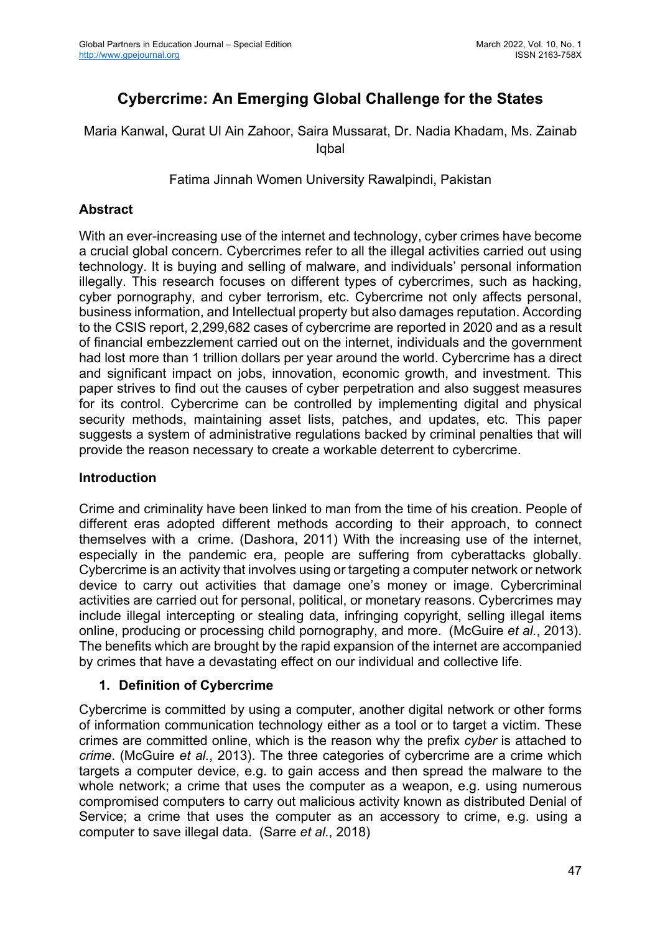# **Cybercrime: An Emerging Global Challenge for the States**

Maria Kanwal, Qurat Ul Ain Zahoor, Saira Mussarat, Dr. Nadia Khadam, Ms. Zainab Iqbal

Fatima Jinnah Women University Rawalpindi, Pakistan

### **Abstract**

With an ever-increasing use of the internet and technology, cyber crimes have become a crucial global concern. Cybercrimes refer to all the illegal activities carried out using technology. It is buying and selling of malware, and individuals' personal information illegally. This research focuses on different types of cybercrimes, such as hacking, cyber pornography, and cyber terrorism, etc. Cybercrime not only affects personal, business information, and Intellectual property but also damages reputation. According to the CSIS report, 2,299,682 cases of cybercrime are reported in 2020 and as a result of financial embezzlement carried out on the internet, individuals and the government had lost more than 1 trillion dollars per year around the world. Cybercrime has a direct and significant impact on jobs, innovation, economic growth, and investment. This paper strives to find out the causes of cyber perpetration and also suggest measures for its control. Cybercrime can be controlled by implementing digital and physical security methods, maintaining asset lists, patches, and updates, etc. This paper suggests a system of administrative regulations backed by criminal penalties that will provide the reason necessary to create a workable deterrent to cybercrime.

### **Introduction**

Crime and criminality have been linked to man from the time of his creation. People of different eras adopted different methods according to their approach, to connect themselves with a crime. (Dashora, 2011) With the increasing use of the internet, especially in the pandemic era, people are suffering from cyberattacks globally. Cybercrime is an activity that involves using or targeting a computer network or network device to carry out activities that damage one's money or image. Cybercriminal activities are carried out for personal, political, or monetary reasons. Cybercrimes may include illegal intercepting or stealing data, infringing copyright, selling illegal items online, producing or processing child pornography, and more. (McGuire *et al.*, 2013). The benefits which are brought by the rapid expansion of the internet are accompanied by crimes that have a devastating effect on our individual and collective life.

### **1. Definition of Cybercrime**

Cybercrime is committed by using a computer, another digital network or other forms of information communication technology either as a tool or to target a victim. These crimes are committed online, which is the reason why the prefix *cyber* is attached to *crime*. (McGuire *et al.*, 2013). The three categories of cybercrime are a crime which targets a computer device, e.g. to gain access and then spread the malware to the whole network; a crime that uses the computer as a weapon, e.g. using numerous compromised computers to carry out malicious activity known as distributed Denial of Service; a crime that uses the computer as an accessory to crime, e.g. using a computer to save illegal data. (Sarre *et al.*, 2018)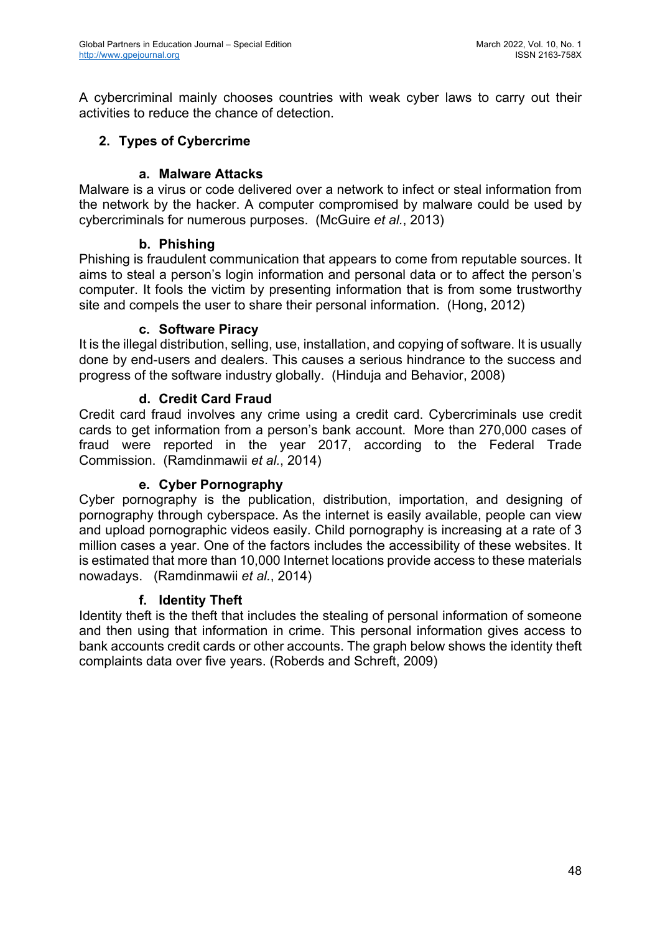A cybercriminal mainly chooses countries with weak cyber laws to carry out their activities to reduce the chance of detection.

## **2. Types of Cybercrime**

### **a. Malware Attacks**

Malware is a virus or code delivered over a network to infect or steal information from the network by the hacker. A computer compromised by malware could be used by cybercriminals for numerous purposes. (McGuire *et al.*, 2013)

#### **b. Phishing**

Phishing is fraudulent communication that appears to come from reputable sources. It aims to steal a person's login information and personal data or to affect the person's computer. It fools the victim by presenting information that is from some trustworthy site and compels the user to share their personal information. (Hong, 2012)

#### **c. Software Piracy**

It is the illegal distribution, selling, use, installation, and copying of software. It is usually done by end-users and dealers. This causes a serious hindrance to the success and progress of the software industry globally. (Hinduja and Behavior, 2008)

### **d. Credit Card Fraud**

Credit card fraud involves any crime using a credit card. Cybercriminals use credit cards to get information from a person's bank account. More than 270,000 cases of fraud were reported in the year 2017, according to the Federal Trade Commission. (Ramdinmawii *et al.*, 2014)

### **e. Cyber Pornography**

Cyber pornography is the publication, distribution, importation, and designing of pornography through cyberspace. As the internet is easily available, people can view and upload pornographic videos easily. Child pornography is increasing at a rate of 3 million cases a year. One of the factors includes the accessibility of these websites. It is estimated that more than 10,000 Internet locations provide access to these materials nowadays. (Ramdinmawii *et al.*, 2014)

### **f. Identity Theft**

Identity theft is the theft that includes the stealing of personal information of someone and then using that information in crime. This personal information gives access to bank accounts credit cards or other accounts. The graph below shows the identity theft complaints data over five years. (Roberds and Schreft, 2009)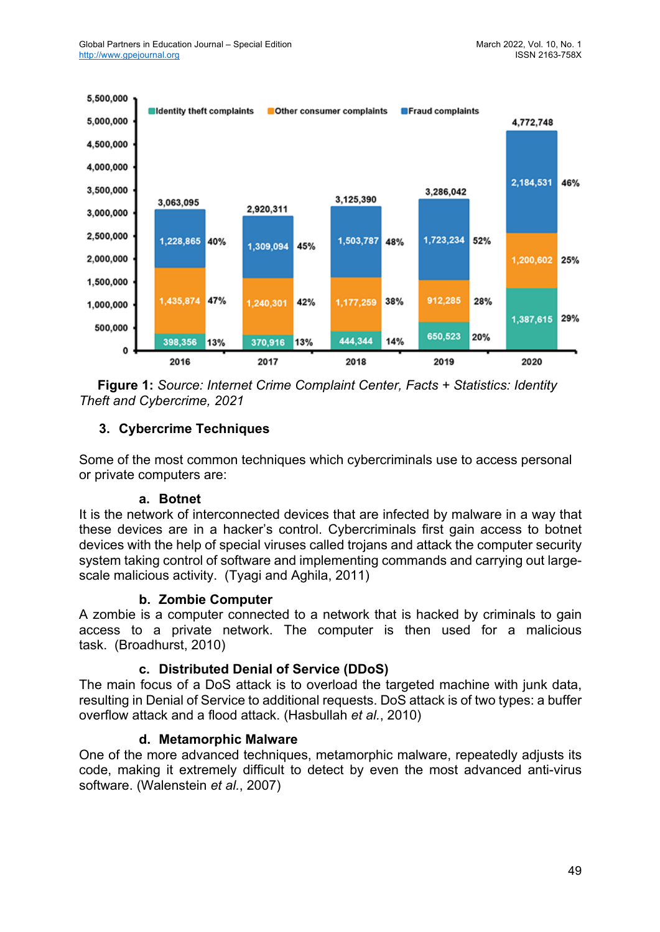

 **Figure 1:** *Source: Internet Crime Complaint Center, Facts + Statistics: Identity Theft and Cybercrime, 2021*

## **3. Cybercrime Techniques**

Some of the most common techniques which cybercriminals use to access personal or private computers are:

#### **a. Botnet**

It is the network of interconnected devices that are infected by malware in a way that these devices are in a hacker's control. Cybercriminals first gain access to botnet devices with the help of special viruses called trojans and attack the computer security system taking control of software and implementing commands and carrying out largescale malicious activity. (Tyagi and Aghila, 2011)

### **b. Zombie Computer**

A zombie is a computer connected to a network that is hacked by criminals to gain access to a private network. The computer is then used for a malicious task. (Broadhurst, 2010)

### **c. Distributed Denial of Service (DDoS)**

The main focus of a DoS attack is to overload the targeted machine with junk data, resulting in Denial of Service to additional requests. DoS attack is of two types: a buffer overflow attack and a flood attack. (Hasbullah *et al.*, 2010)

### **d. Metamorphic Malware**

One of the more advanced techniques, metamorphic malware, repeatedly adjusts its code, making it extremely difficult to detect by even the most advanced anti-virus software. (Walenstein *et al.*, 2007)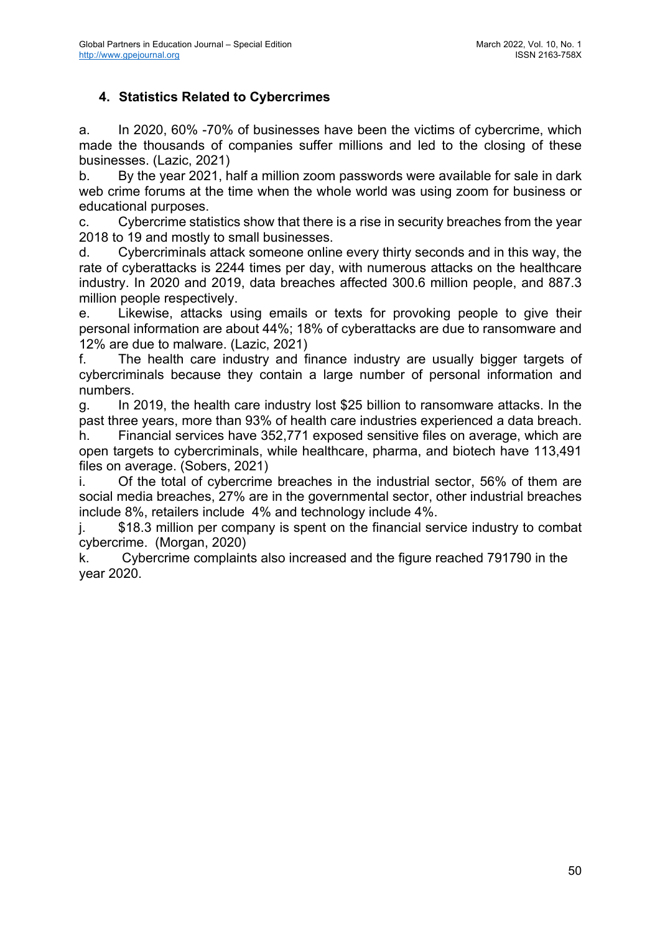# **4. Statistics Related to Cybercrimes**

a. In 2020, 60% -70% of businesses have been the victims of cybercrime, which made the thousands of companies suffer millions and led to the closing of these businesses. (Lazic, 2021)

b. By the year 2021, half a million zoom passwords were available for sale in dark web crime forums at the time when the whole world was using zoom for business or educational purposes.

c. Cybercrime statistics show that there is a rise in security breaches from the year 2018 to 19 and mostly to small businesses.

d. Cybercriminals attack someone online every thirty seconds and in this way, the rate of cyberattacks is 2244 times per day, with numerous attacks on the healthcare industry. In 2020 and 2019, data breaches affected 300.6 million people, and 887.3 million people respectively.

e. Likewise, attacks using emails or texts for provoking people to give their personal information are about 44%; 18% of cyberattacks are due to ransomware and 12% are due to malware. (Lazic, 2021)

f. The health care industry and finance industry are usually bigger targets of cybercriminals because they contain a large number of personal information and numbers.

g. In 2019, the health care industry lost \$25 billion to ransomware attacks. In the past three years, more than 93% of health care industries experienced a data breach.

h. Financial services have 352,771 exposed sensitive files on average, which are open targets to cybercriminals, while healthcare, pharma, and biotech have 113,491 files on average. (Sobers, 2021)

i. Of the total of cybercrime breaches in the industrial sector, 56% of them are social media breaches, 27% are in the governmental sector, other industrial breaches include 8%, retailers include 4% and technology include 4%.

j. \$18.3 million per company is spent on the financial service industry to combat cybercrime. (Morgan, 2020)

k. Cybercrime complaints also increased and the figure reached 791790 in the year 2020.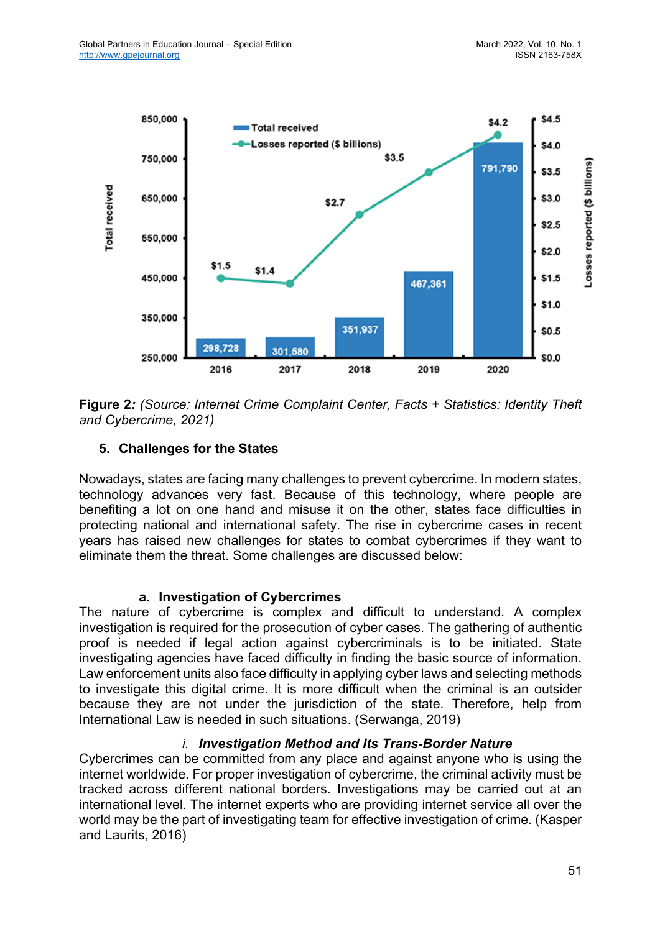

**Figure 2***: (Source: Internet Crime Complaint Center, Facts + Statistics: Identity Theft and Cybercrime, 2021)*

## **5. Challenges for the States**

Nowadays, states are facing many challenges to prevent cybercrime. In modern states, technology advances very fast. Because of this technology, where people are benefiting a lot on one hand and misuse it on the other, states face difficulties in protecting national and international safety. The rise in cybercrime cases in recent years has raised new challenges for states to combat cybercrimes if they want to eliminate them the threat. Some challenges are discussed below:

### **a. Investigation of Cybercrimes**

The nature of cybercrime is complex and difficult to understand. A complex investigation is required for the prosecution of cyber cases. The gathering of authentic proof is needed if legal action against cybercriminals is to be initiated. State investigating agencies have faced difficulty in finding the basic source of information. Law enforcement units also face difficulty in applying cyber laws and selecting methods to investigate this digital crime. It is more difficult when the criminal is an outsider because they are not under the jurisdiction of the state. Therefore, help from International Law is needed in such situations. (Serwanga, 2019)

### *i. Investigation Method and Its Trans-Border Nature*

Cybercrimes can be committed from any place and against anyone who is using the internet worldwide. For proper investigation of cybercrime, the criminal activity must be tracked across different national borders. Investigations may be carried out at an international level. The internet experts who are providing internet service all over the world may be the part of investigating team for effective investigation of crime. (Kasper and Laurits, 2016)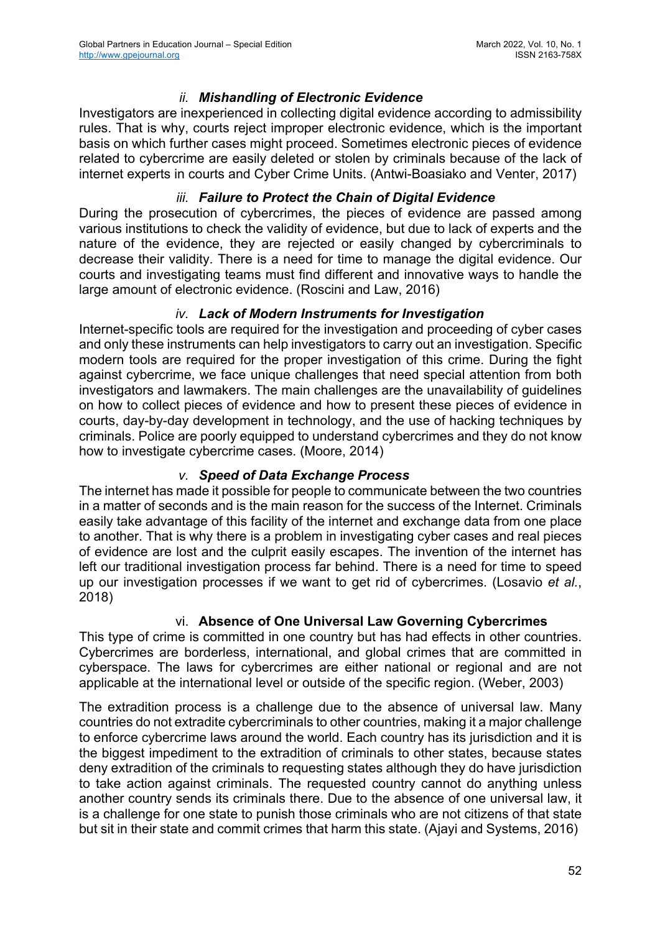### *ii. Mishandling of Electronic Evidence*

Investigators are inexperienced in collecting digital evidence according to admissibility rules. That is why, courts reject improper electronic evidence, which is the important basis on which further cases might proceed. Sometimes electronic pieces of evidence related to cybercrime are easily deleted or stolen by criminals because of the lack of internet experts in courts and Cyber Crime Units. (Antwi-Boasiako and Venter, 2017)

### *iii. Failure to Protect the Chain of Digital Evidence*

During the prosecution of cybercrimes, the pieces of evidence are passed among various institutions to check the validity of evidence, but due to lack of experts and the nature of the evidence, they are rejected or easily changed by cybercriminals to decrease their validity. There is a need for time to manage the digital evidence. Our courts and investigating teams must find different and innovative ways to handle the large amount of electronic evidence. (Roscini and Law, 2016)

### *iv. Lack of Modern Instruments for Investigation*

Internet-specific tools are required for the investigation and proceeding of cyber cases and only these instruments can help investigators to carry out an investigation. Specific modern tools are required for the proper investigation of this crime. During the fight against cybercrime, we face unique challenges that need special attention from both investigators and lawmakers. The main challenges are the unavailability of guidelines on how to collect pieces of evidence and how to present these pieces of evidence in courts, day-by-day development in technology, and the use of hacking techniques by criminals. Police are poorly equipped to understand cybercrimes and they do not know how to investigate cybercrime cases. (Moore, 2014)

### *v. Speed of Data Exchange Process*

The internet has made it possible for people to communicate between the two countries in a matter of seconds and is the main reason for the success of the Internet. Criminals easily take advantage of this facility of the internet and exchange data from one place to another. That is why there is a problem in investigating cyber cases and real pieces of evidence are lost and the culprit easily escapes. The invention of the internet has left our traditional investigation process far behind. There is a need for time to speed up our investigation processes if we want to get rid of cybercrimes. (Losavio *et al.*, 2018)

#### vi. **Absence of One Universal Law Governing Cybercrimes**

This type of crime is committed in one country but has had effects in other countries. Cybercrimes are borderless, international, and global crimes that are committed in cyberspace. The laws for cybercrimes are either national or regional and are not applicable at the international level or outside of the specific region. (Weber, 2003)

The extradition process is a challenge due to the absence of universal law. Many countries do not extradite cybercriminals to other countries, making it a major challenge to enforce cybercrime laws around the world. Each country has its jurisdiction and it is the biggest impediment to the extradition of criminals to other states, because states deny extradition of the criminals to requesting states although they do have jurisdiction to take action against criminals. The requested country cannot do anything unless another country sends its criminals there. Due to the absence of one universal law, it is a challenge for one state to punish those criminals who are not citizens of that state but sit in their state and commit crimes that harm this state. (Ajayi and Systems, 2016)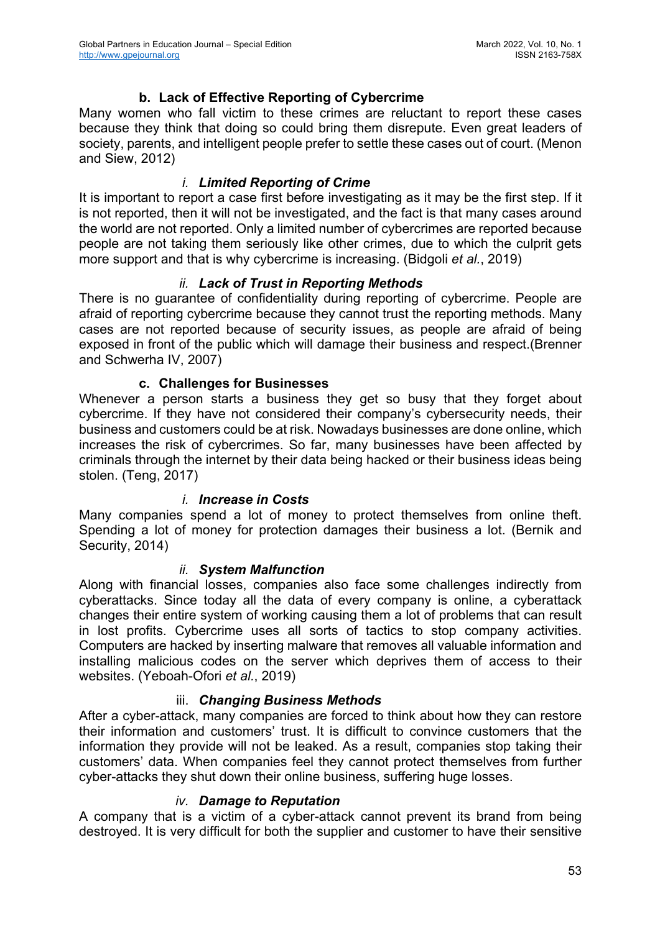### **b. Lack of Effective Reporting of Cybercrime**

Many women who fall victim to these crimes are reluctant to report these cases because they think that doing so could bring them disrepute. Even great leaders of society, parents, and intelligent people prefer to settle these cases out of court. (Menon and Siew, 2012)

#### *i. Limited Reporting of Crime*

It is important to report a case first before investigating as it may be the first step. If it is not reported, then it will not be investigated, and the fact is that many cases around the world are not reported. Only a limited number of cybercrimes are reported because people are not taking them seriously like other crimes, due to which the culprit gets more support and that is why cybercrime is increasing. (Bidgoli *et al.*, 2019)

#### *ii. Lack of Trust in Reporting Methods*

There is no guarantee of confidentiality during reporting of cybercrime. People are afraid of reporting cybercrime because they cannot trust the reporting methods. Many cases are not reported because of security issues, as people are afraid of being exposed in front of the public which will damage their business and respect.(Brenner and Schwerha IV, 2007)

#### **c. Challenges for Businesses**

Whenever a person starts a business they get so busy that they forget about cybercrime. If they have not considered their company's cybersecurity needs, their business and customers could be at risk. Nowadays businesses are done online, which increases the risk of cybercrimes. So far, many businesses have been affected by criminals through the internet by their data being hacked or their business ideas being stolen. (Teng, 2017)

#### *i. Increase in Costs*

Many companies spend a lot of money to protect themselves from online theft. Spending a lot of money for protection damages their business a lot. (Bernik and Security, 2014)

#### *ii. System Malfunction*

Along with financial losses, companies also face some challenges indirectly from cyberattacks. Since today all the data of every company is online, a cyberattack changes their entire system of working causing them a lot of problems that can result in lost profits. Cybercrime uses all sorts of tactics to stop company activities. Computers are hacked by inserting malware that removes all valuable information and installing malicious codes on the server which deprives them of access to their websites. (Yeboah-Ofori *et al.*, 2019)

#### iii. *Changing Business Methods*

After a cyber-attack, many companies are forced to think about how they can restore their information and customers' trust. It is difficult to convince customers that the information they provide will not be leaked. As a result, companies stop taking their customers' data. When companies feel they cannot protect themselves from further cyber-attacks they shut down their online business, suffering huge losses.

#### *iv. Damage to Reputation*

A company that is a victim of a cyber-attack cannot prevent its brand from being destroyed. It is very difficult for both the supplier and customer to have their sensitive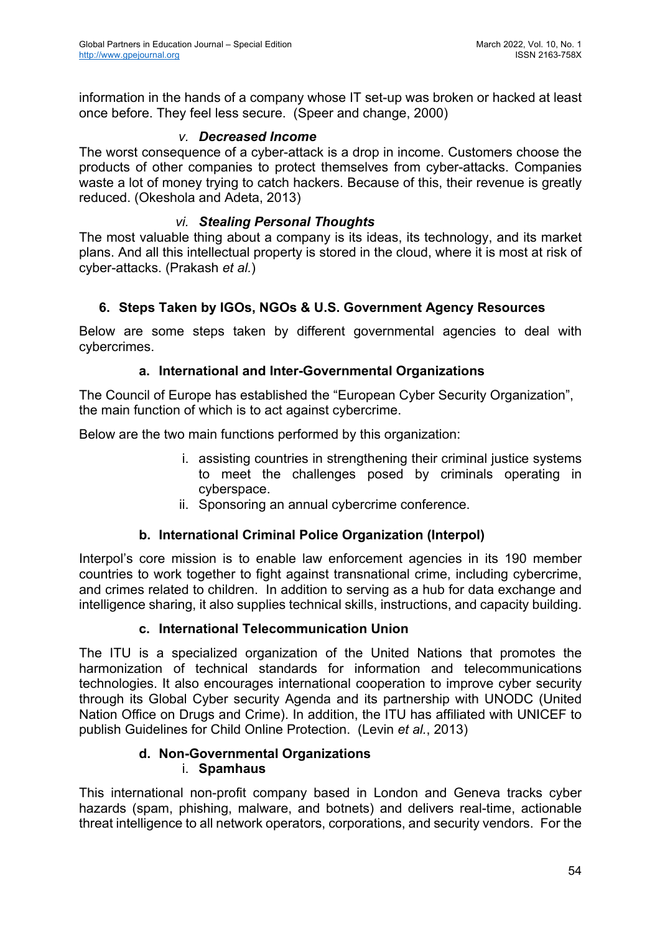information in the hands of a company whose IT set-up was broken or hacked at least once before. They feel less secure. (Speer and change, 2000)

#### *v. Decreased Income*

The worst consequence of a cyber-attack is a drop in income. Customers choose the products of other companies to protect themselves from cyber-attacks. Companies waste a lot of money trying to catch hackers. Because of this, their revenue is greatly reduced. (Okeshola and Adeta, 2013)

#### *vi. Stealing Personal Thoughts*

The most valuable thing about a company is its ideas, its technology, and its market plans. And all this intellectual property is stored in the cloud, where it is most at risk of cyber-attacks. (Prakash *et al.*)

### **6. Steps Taken by IGOs, NGOs & U.S. Government Agency Resources**

Below are some steps taken by different governmental agencies to deal with cybercrimes.

#### **a. International and Inter-Governmental Organizations**

The Council of Europe has established the "European Cyber Security Organization", the main function of which is to act against cybercrime.

Below are the two main functions performed by this organization:

- i. assisting countries in strengthening their criminal justice systems to meet the challenges posed by criminals operating in cyberspace.
- ii. Sponsoring an annual cybercrime conference.

#### **b. International Criminal Police Organization (Interpol)**

Interpol's core mission is to enable law enforcement agencies in its 190 member countries to work together to fight against transnational crime, including cybercrime, and crimes related to children. In addition to serving as a hub for data exchange and intelligence sharing, it also supplies technical skills, instructions, and capacity building.

#### **c. International Telecommunication Union**

The ITU is a specialized organization of the United Nations that promotes the harmonization of technical standards for information and telecommunications technologies. It also encourages international cooperation to improve cyber security through its Global Cyber security Agenda and its partnership with UNODC (United Nation Office on Drugs and Crime). In addition, the ITU has affiliated with UNICEF to publish Guidelines for Child Online Protection. (Levin *et al.*, 2013)

#### **d. Non-Governmental Organizations** i. **Spamhaus**

This international non-profit company based in London and Geneva tracks cyber hazards (spam, phishing, malware, and botnets) and delivers real-time, actionable threat intelligence to all network operators, corporations, and security vendors. For the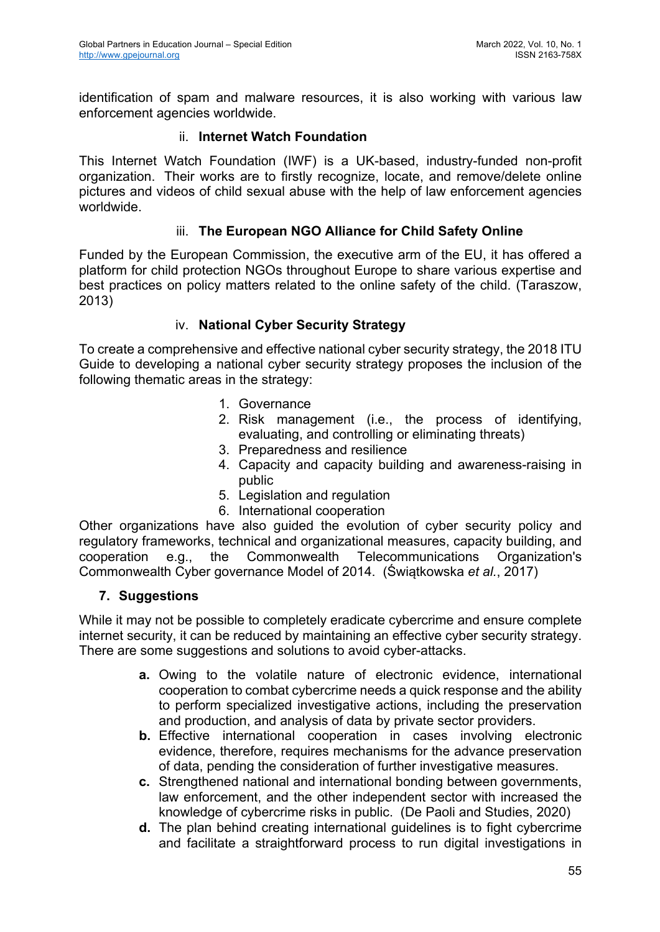identification of spam and malware resources, it is also working with various law enforcement agencies worldwide.

### ii. **Internet Watch Foundation**

This Internet Watch Foundation (IWF) is a UK-based, industry-funded non-profit organization. Their works are to firstly recognize, locate, and remove/delete online pictures and videos of child sexual abuse with the help of law enforcement agencies worldwide.

### iii. **The European NGO Alliance for Child Safety Online**

Funded by the European Commission, the executive arm of the EU, it has offered a platform for child protection NGOs throughout Europe to share various expertise and best practices on policy matters related to the online safety of the child. (Taraszow, 2013)

### iv. **National Cyber Security Strategy**

To create a comprehensive and effective national cyber security strategy, the 2018 ITU Guide to developing a national cyber security strategy proposes the inclusion of the following thematic areas in the strategy:

- 1. Governance
- 2. Risk management (i.e., the process of identifying, evaluating, and controlling or eliminating threats)
- 3. Preparedness and resilience
- 4. Capacity and capacity building and awareness-raising in public
- 5. Legislation and regulation
- 6. International cooperation

Other organizations have also guided the evolution of cyber security policy and regulatory frameworks, technical and organizational measures, capacity building, and cooperation e.g., the Commonwealth Telecommunications Organization's Commonwealth Cyber governance Model of 2014. (Świątkowska *et al.*, 2017)

#### **7. Suggestions**

While it may not be possible to completely eradicate cybercrime and ensure complete internet security, it can be reduced by maintaining an effective cyber security strategy. There are some suggestions and solutions to avoid cyber-attacks.

- **a.** Owing to the volatile nature of electronic evidence, international cooperation to combat cybercrime needs a quick response and the ability to perform specialized investigative actions, including the preservation and production, and analysis of data by private sector providers.
- **b.** Effective international cooperation in cases involving electronic evidence, therefore, requires mechanisms for the advance preservation of data, pending the consideration of further investigative measures.
- **c.** Strengthened national and international bonding between governments, law enforcement, and the other independent sector with increased the knowledge of cybercrime risks in public. (De Paoli and Studies, 2020)
- **d.** The plan behind creating international guidelines is to fight cybercrime and facilitate a straightforward process to run digital investigations in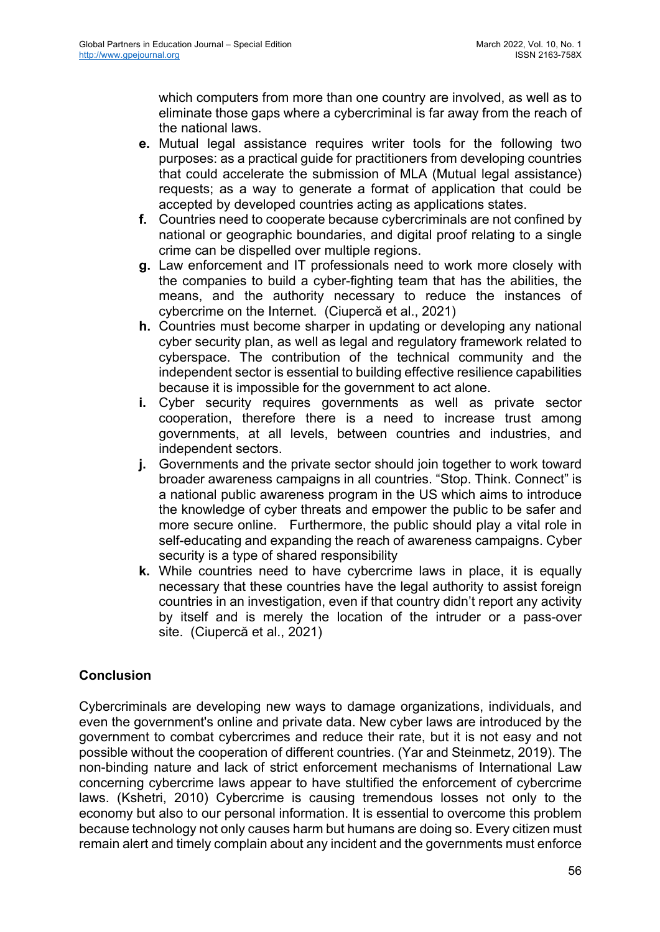which computers from more than one country are involved, as well as to eliminate those gaps where a cybercriminal is far away from the reach of the national laws.

- **e.** Mutual legal assistance requires writer tools for the following two purposes: as a practical guide for practitioners from developing countries that could accelerate the submission of MLA (Mutual legal assistance) requests; as a way to generate a format of application that could be accepted by developed countries acting as applications states.
- **f.** Countries need to cooperate because cybercriminals are not confined by national or geographic boundaries, and digital proof relating to a single crime can be dispelled over multiple regions.
- **g.** Law enforcement and IT professionals need to work more closely with the companies to build a cyber-fighting team that has the abilities, the means, and the authority necessary to reduce the instances of cybercrime on the Internet. (Ciupercă et al., 2021)
- **h.** Countries must become sharper in updating or developing any national cyber security plan, as well as legal and regulatory framework related to cyberspace. The contribution of the technical community and the independent sector is essential to building effective resilience capabilities because it is impossible for the government to act alone.
- **i.** Cyber security requires governments as well as private sector cooperation, therefore there is a need to increase trust among governments, at all levels, between countries and industries, and independent sectors.
- **j.** Governments and the private sector should join together to work toward broader awareness campaigns in all countries. "Stop. Think. Connect" is a national public awareness program in the US which aims to introduce the knowledge of cyber threats and empower the public to be safer and more secure online. Furthermore, the public should play a vital role in self-educating and expanding the reach of awareness campaigns. Cyber security is a type of shared responsibility
- **k.** While countries need to have cybercrime laws in place, it is equally necessary that these countries have the legal authority to assist foreign countries in an investigation, even if that country didn't report any activity by itself and is merely the location of the intruder or a pass-over site. (Ciupercă et al., 2021)

# **Conclusion**

Cybercriminals are developing new ways to damage organizations, individuals, and even the government's online and private data. New cyber laws are introduced by the government to combat cybercrimes and reduce their rate, but it is not easy and not possible without the cooperation of different countries. (Yar and Steinmetz, 2019). The non-binding nature and lack of strict enforcement mechanisms of International Law concerning cybercrime laws appear to have stultified the enforcement of cybercrime laws. (Kshetri, 2010) Cybercrime is causing tremendous losses not only to the economy but also to our personal information. It is essential to overcome this problem because technology not only causes harm but humans are doing so. Every citizen must remain alert and timely complain about any incident and the governments must enforce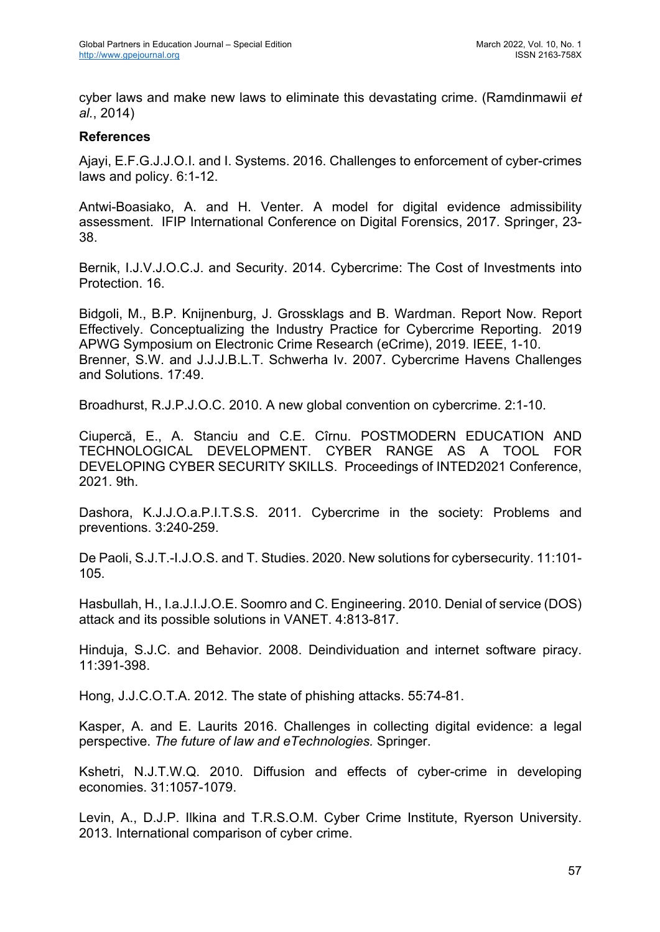cyber laws and make new laws to eliminate this devastating crime. (Ramdinmawii *et al.*, 2014)

### **References**

Ajayi, E.F.G.J.J.O.I. and I. Systems. 2016. Challenges to enforcement of cyber-crimes laws and policy. 6:1-12.

Antwi-Boasiako, A. and H. Venter. A model for digital evidence admissibility assessment. IFIP International Conference on Digital Forensics, 2017. Springer, 23- 38.

Bernik, I.J.V.J.O.C.J. and Security. 2014. Cybercrime: The Cost of Investments into Protection. 16.

Bidgoli, M., B.P. Knijnenburg, J. Grossklags and B. Wardman. Report Now. Report Effectively. Conceptualizing the Industry Practice for Cybercrime Reporting. 2019 APWG Symposium on Electronic Crime Research (eCrime), 2019. IEEE, 1-10. Brenner, S.W. and J.J.J.B.L.T. Schwerha Iv. 2007. Cybercrime Havens Challenges and Solutions. 17:49.

Broadhurst, R.J.P.J.O.C. 2010. A new global convention on cybercrime. 2:1-10.

Ciupercă, E., A. Stanciu and C.E. Cîrnu. POSTMODERN EDUCATION AND TECHNOLOGICAL DEVELOPMENT. CYBER RANGE AS A TOOL FOR DEVELOPING CYBER SECURITY SKILLS. Proceedings of INTED2021 Conference, 2021. 9th.

Dashora, K.J.J.O.a.P.I.T.S.S. 2011. Cybercrime in the society: Problems and preventions. 3:240-259.

De Paoli, S.J.T.-I.J.O.S. and T. Studies. 2020. New solutions for cybersecurity. 11:101- 105.

Hasbullah, H., I.a.J.I.J.O.E. Soomro and C. Engineering. 2010. Denial of service (DOS) attack and its possible solutions in VANET. 4:813-817.

Hinduja, S.J.C. and Behavior. 2008. Deindividuation and internet software piracy. 11:391-398.

Hong, J.J.C.O.T.A. 2012. The state of phishing attacks. 55:74-81.

Kasper, A. and E. Laurits 2016. Challenges in collecting digital evidence: a legal perspective. *The future of law and eTechnologies.* Springer.

Kshetri, N.J.T.W.Q. 2010. Diffusion and effects of cyber-crime in developing economies. 31:1057-1079.

Levin, A., D.J.P. Ilkina and T.R.S.O.M. Cyber Crime Institute, Ryerson University. 2013. International comparison of cyber crime.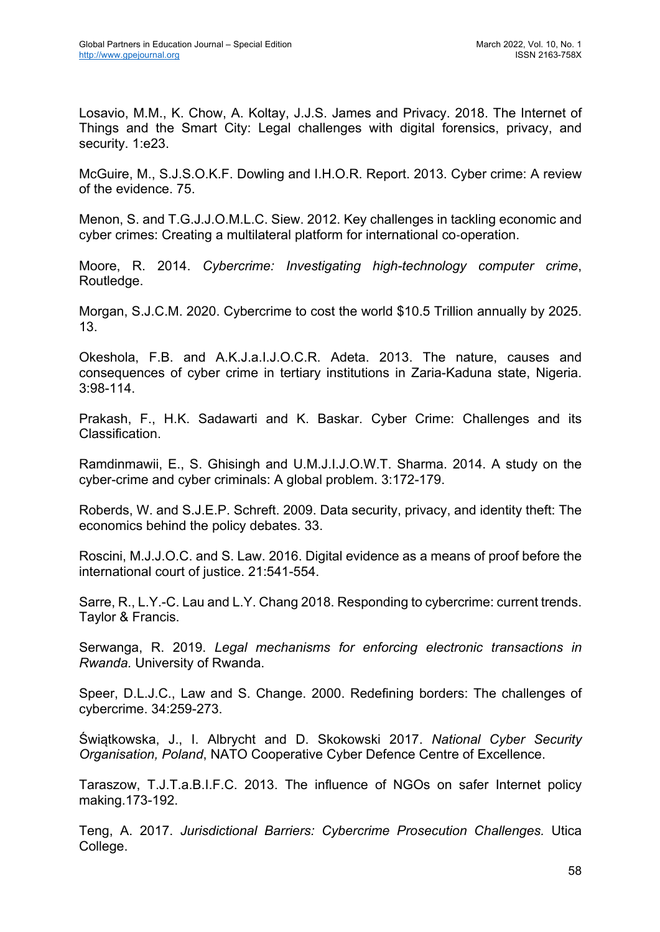Losavio, M.M., K. Chow, A. Koltay, J.J.S. James and Privacy. 2018. The Internet of Things and the Smart City: Legal challenges with digital forensics, privacy, and security. 1:e23.

McGuire, M., S.J.S.O.K.F. Dowling and I.H.O.R. Report. 2013. Cyber crime: A review of the evidence. 75.

Menon, S. and T.G.J.J.O.M.L.C. Siew. 2012. Key challenges in tackling economic and cyber crimes: Creating a multilateral platform for international co-operation.

Moore, R. 2014. *Cybercrime: Investigating high-technology computer crime*, Routledge.

Morgan, S.J.C.M. 2020. Cybercrime to cost the world \$10.5 Trillion annually by 2025. 13.

Okeshola, F.B. and A.K.J.a.I.J.O.C.R. Adeta. 2013. The nature, causes and consequences of cyber crime in tertiary institutions in Zaria-Kaduna state, Nigeria. 3:98-114.

Prakash, F., H.K. Sadawarti and K. Baskar. Cyber Crime: Challenges and its Classification.

Ramdinmawii, E., S. Ghisingh and U.M.J.I.J.O.W.T. Sharma. 2014. A study on the cyber-crime and cyber criminals: A global problem. 3:172-179.

Roberds, W. and S.J.E.P. Schreft. 2009. Data security, privacy, and identity theft: The economics behind the policy debates. 33.

Roscini, M.J.J.O.C. and S. Law. 2016. Digital evidence as a means of proof before the international court of justice. 21:541-554.

Sarre, R., L.Y.-C. Lau and L.Y. Chang 2018. Responding to cybercrime: current trends. Taylor & Francis.

Serwanga, R. 2019. *Legal mechanisms for enforcing electronic transactions in Rwanda.* University of Rwanda.

Speer, D.L.J.C., Law and S. Change. 2000. Redefining borders: The challenges of cybercrime. 34:259-273.

Świątkowska, J., I. Albrycht and D. Skokowski 2017. *National Cyber Security Organisation, Poland*, NATO Cooperative Cyber Defence Centre of Excellence.

Taraszow, T.J.T.a.B.I.F.C. 2013. The influence of NGOs on safer Internet policy making.173-192.

Teng, A. 2017. *Jurisdictional Barriers: Cybercrime Prosecution Challenges.* Utica College.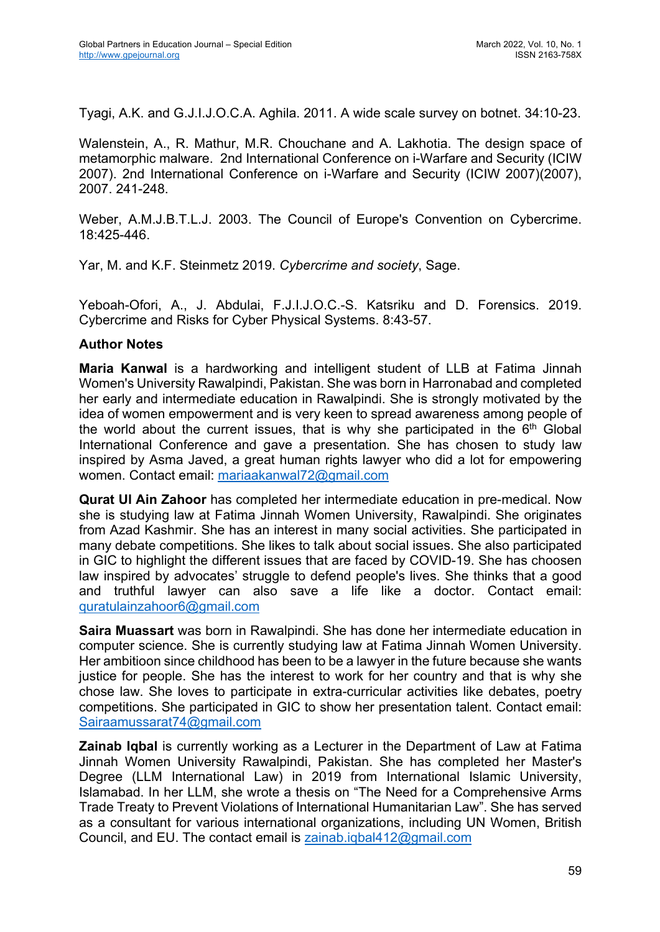Tyagi, A.K. and G.J.I.J.O.C.A. Aghila. 2011. A wide scale survey on botnet. 34:10-23.

Walenstein, A., R. Mathur, M.R. Chouchane and A. Lakhotia. The design space of metamorphic malware. 2nd International Conference on i-Warfare and Security (ICIW 2007). 2nd International Conference on i-Warfare and Security (ICIW 2007)(2007), 2007. 241-248.

Weber, A.M.J.B.T.L.J. 2003. The Council of Europe's Convention on Cybercrime. 18:425-446.

Yar, M. and K.F. Steinmetz 2019. *Cybercrime and society*, Sage.

Yeboah-Ofori, A., J. Abdulai, F.J.I.J.O.C.-S. Katsriku and D. Forensics. 2019. Cybercrime and Risks for Cyber Physical Systems. 8:43-57.

#### **Author Notes**

**Maria Kanwal** is a hardworking and intelligent student of LLB at Fatima Jinnah Women's University Rawalpindi, Pakistan. She was born in Harronabad and completed her early and intermediate education in Rawalpindi. She is strongly motivated by the idea of women empowerment and is very keen to spread awareness among people of the world about the current issues, that is why she participated in the  $6<sup>th</sup>$  Global International Conference and gave a presentation. She has chosen to study law inspired by Asma Javed, a great human rights lawyer who did a lot for empowering women. Contact email: mariaakanwal72@gmail.com

**Qurat Ul Ain Zahoor** has completed her intermediate education in pre-medical. Now she is studying law at Fatima Jinnah Women University, Rawalpindi. She originates from Azad Kashmir. She has an interest in many social activities. She participated in many debate competitions. She likes to talk about social issues. She also participated in GIC to highlight the different issues that are faced by COVID-19. She has choosen law inspired by advocates' struggle to defend people's lives. She thinks that a good and truthful lawyer can also save a life like a doctor. Contact email: quratulainzahoor6@gmail.com

**Saira Muassart** was born in Rawalpindi. She has done her intermediate education in computer science. She is currently studying law at Fatima Jinnah Women University. Her ambitioon since childhood has been to be a lawyer in the future because she wants justice for people. She has the interest to work for her country and that is why she chose law. She loves to participate in extra-curricular activities like debates, poetry competitions. She participated in GIC to show her presentation talent. Contact email: Sairaamussarat74@gmail.com

**Zainab Iqbal** is currently working as a Lecturer in the Department of Law at Fatima Jinnah Women University Rawalpindi, Pakistan. She has completed her Master's Degree (LLM International Law) in 2019 from International Islamic University, Islamabad. In her LLM, she wrote a thesis on "The Need for a Comprehensive Arms Trade Treaty to Prevent Violations of International Humanitarian Law". She has served as a consultant for various international organizations, including UN Women, British Council, and EU. The contact email is zainab.iqbal412@gmail.com